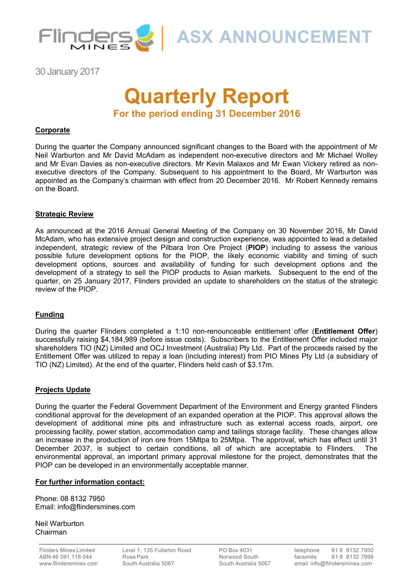

**ASX ANNOUNCEMENT**

30 January 2017

# **Quarterly Report For the period ending 31 December 2016**

## **Corporate**

During the quarter the Company announced significant changes to the Board with the appointment of Mr Neil Warburton and Mr David McAdam as independent non-executive directors and Mr Michael Wolley and Mr Evan Davies as non-executive directors. Mr Kevin Malaxos and Mr Ewan Vickery retired as nonexecutive directors of the Company. Subsequent to his appointment to the Board, Mr Warburton was appointed as the Company's chairman with effect from 20 December 2016. Mr Robert Kennedy remains on the Board.

## **Strategic Review**

As announced at the 2016 Annual General Meeting of the Company on 30 November 2016, Mr David McAdam, who has extensive project design and construction experience, was appointed to lead a detailed independent, strategic review of the Pilbara Iron Ore Project (**PIOP**) including to assess the various possible future development options for the PIOP, the likely economic viability and timing of such development options, sources and availability of funding for such development options and the development of a strategy to sell the PIOP products to Asian markets. Subsequent to the end of the quarter, on 25 January 2017, Flinders provided an update to shareholders on the status of the strategic review of the PIOP.

## **Funding**

During the quarter Flinders completed a 1:10 non-renounceable entitlement offer (**Entitlement Offer**) successfully raising \$4,184,989 (before issue costs). Subscribers to the Entitlement Offer included major shareholders TIO (NZ) Limited and OCJ Investment (Australia) Pty Ltd. Part of the proceeds raised by the Entitlement Offer was utilized to repay a loan (including interest) from PIO Mines Pty Ltd (a subsidiary of TIO (NZ) Limited). At the end of the quarter, Flinders held cash of \$3.17m.

## **Projects Update**

During the quarter the Federal Government Department of the Environment and Energy granted Flinders conditional approval for the development of an expanded operation at the PIOP. This approval allows the development of additional mine pits and infrastructure such as external access roads, airport, ore processing facility, power station, accommodation camp and tailings storage facility. These changes allow an increase in the production of iron ore from 15Mtpa to 25Mtpa. The approval, which has effect until 31 December 2037, is subject to certain conditions, all of which are acceptable to Flinders. The environmental approval, an important primary approval milestone for the project, demonstrates that the PIOP can be developed in an environmentally acceptable manner.

## **For further information contact:**

Phone: 08 8132 7950 Email: info@flindersmines.com

Neil Warburton Chairman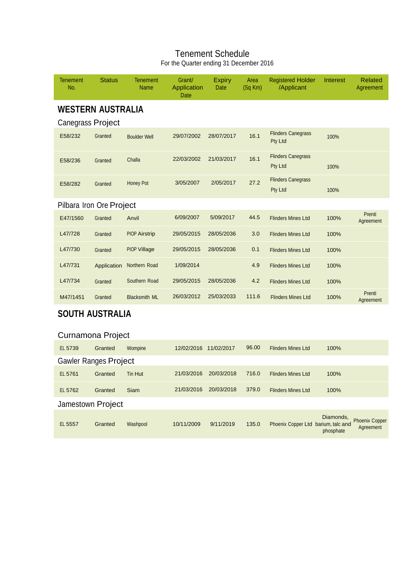## Tenement Schedule For the Quarter ending 31 December 2016

| <b>Tenement</b><br>No.       | <b>Status</b> | <b>Tenement</b><br><b>Name</b> | Grant/<br>Application<br>Date | <b>Expiry</b><br>Date | Area<br>$(Sq$ Km) | <b>Registered Holder</b><br>/Applicant | Interest               | <b>Related</b><br>Agreement        |
|------------------------------|---------------|--------------------------------|-------------------------------|-----------------------|-------------------|----------------------------------------|------------------------|------------------------------------|
| <b>WESTERN AUSTRALIA</b>     |               |                                |                               |                       |                   |                                        |                        |                                    |
| Canegrass Project            |               |                                |                               |                       |                   |                                        |                        |                                    |
| E58/232                      | Granted       | <b>Boulder Well</b>            | 29/07/2002                    | 28/07/2017            | 16.1              | <b>Flinders Canegrass</b><br>Pty Ltd   | 100%                   |                                    |
| E58/236                      | Granted       | Challa                         | 22/03/2002                    | 21/03/2017            | 16.1              | <b>Flinders Canegrass</b><br>Pty Ltd   | 100%                   |                                    |
| E58/282                      | Granted       | <b>Honey Pot</b>               | 3/05/2007                     | 2/05/2017             | 27.2              | <b>Flinders Canegrass</b><br>Pty Ltd   | 100%                   |                                    |
| Pilbara Iron Ore Project     |               |                                |                               |                       |                   |                                        |                        |                                    |
| E47/1560                     | Granted       | Anvil                          | 6/09/2007                     | 5/09/2017             | 44.5              | <b>Flinders Mines Ltd</b>              | 100%                   | Prenti<br>Agreement                |
| L47/728                      | Granted       | <b>PIOP Airstrip</b>           | 29/05/2015                    | 28/05/2036            | 3.0               | <b>Flinders Mines Ltd</b>              | 100%                   |                                    |
| L47/730                      | Granted       | <b>PIOP Village</b>            | 29/05/2015                    | 28/05/2036            | 0.1               | <b>Flinders Mines Ltd</b>              | 100%                   |                                    |
| L47/731                      | Application   | Northern Road                  | 1/09/2014                     |                       | 4.9               | <b>Flinders Mines Ltd</b>              | 100%                   |                                    |
| L47/734                      | Granted       | Southern Road                  | 29/05/2015                    | 28/05/2036            | 4.2               | <b>Flinders Mines Ltd</b>              | 100%                   |                                    |
| M47/1451                     | Granted       | <b>Blacksmith ML</b>           | 26/03/2012                    | 25/03/2033            | 111.6             | <b>Flinders Mines Ltd</b>              | 100%                   | Prenti<br>Agreement                |
| <b>SOUTH AUSTRALIA</b>       |               |                                |                               |                       |                   |                                        |                        |                                    |
| Curnamona Project            |               |                                |                               |                       |                   |                                        |                        |                                    |
| EL 5739                      | Granted       | Wompine                        | 12/02/2016 11/02/2017         |                       | 96.00             | <b>Flinders Mines Ltd</b>              | 100%                   |                                    |
| <b>Gawler Ranges Project</b> |               |                                |                               |                       |                   |                                        |                        |                                    |
| EL 5761                      | Granted       | Tin Hut                        | 21/03/2016                    | 20/03/2018            | 716.0             | <b>Flinders Mines Ltd</b>              | 100%                   |                                    |
| EL 5762                      | Granted       | Siam                           | 21/03/2016                    | 20/03/2018            | 379.0             | <b>Flinders Mines Ltd</b>              | 100%                   |                                    |
| Jamestown Project            |               |                                |                               |                       |                   |                                        |                        |                                    |
| EL 5557                      | Granted       | Washpool                       | 10/11/2009                    | 9/11/2019             | 135.0             | Phoenix Copper Ltd barium, talc and    | Diamonds,<br>phosphate | <b>Phoenix Copper</b><br>Agreement |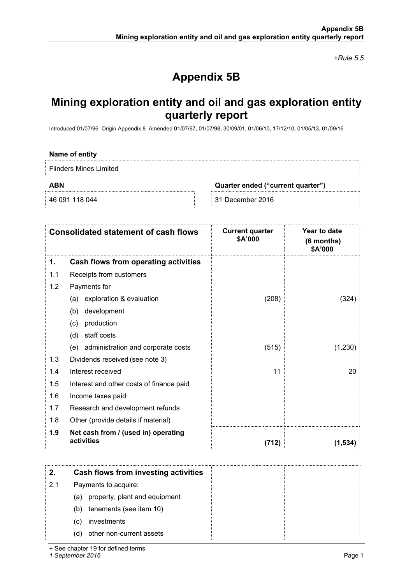*+Rule 5.5*

## **Appendix 5B**

## **Mining exploration entity and oil and gas exploration entity quarterly report**

Introduced 01/07/96 Origin Appendix 8 Amended 01/07/97, 01/07/98, 30/09/01, 01/06/10, 17/12/10, 01/05/13, 01/09/16

#### **Name of entity**

Flinders Mines Limited

**ABN Quarter ended ("current quarter")**

46 091 118 044 31 December 2016

|     | <b>Consolidated statement of cash flows</b>       | <b>Current quarter</b><br>\$A'000 | Year to date<br>(6 months)<br>\$A'000 |
|-----|---------------------------------------------------|-----------------------------------|---------------------------------------|
| 1.  | Cash flows from operating activities              |                                   |                                       |
| 1.1 | Receipts from customers                           |                                   |                                       |
| 1.2 | Payments for                                      |                                   |                                       |
|     | exploration & evaluation<br>(a)                   | (208)                             | (324)                                 |
|     | development<br>(b)                                |                                   |                                       |
|     | production<br>(c)                                 |                                   |                                       |
|     | staff costs<br>(d)                                |                                   |                                       |
|     | (e) administration and corporate costs            | (515)                             | (1,230)                               |
| 1.3 | Dividends received (see note 3)                   |                                   |                                       |
| 1.4 | Interest received                                 | 11                                | 20                                    |
| 1.5 | Interest and other costs of finance paid          |                                   |                                       |
| 1.6 | Income taxes paid                                 |                                   |                                       |
| 1.7 | Research and development refunds                  |                                   |                                       |
| 1.8 | Other (provide details if material)               |                                   |                                       |
| 1.9 | Net cash from / (used in) operating<br>activities | (712)                             | (1.534)                               |

| 2.  | Cash flows from investing activities |  |
|-----|--------------------------------------|--|
| 2.1 | Payments to acquire:                 |  |
|     | property, plant and equipment<br>(a) |  |
|     | tenements (see item 10)<br>(b)       |  |
|     | investments<br>(C)                   |  |
|     | other non-current assets<br>(d)      |  |

+ See chapter 19 for defined terms

*1 September 2016* Page 1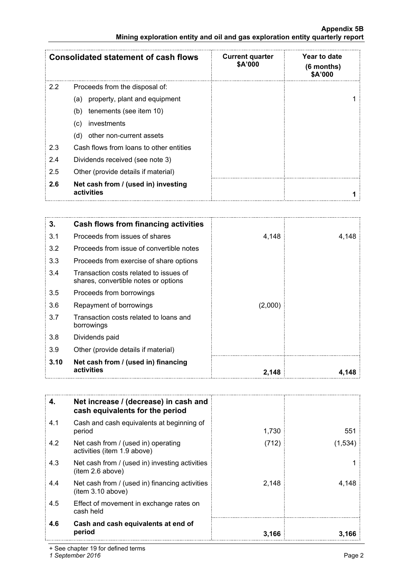|                                                                               | <b>Appendix 5B</b> |
|-------------------------------------------------------------------------------|--------------------|
| Mining exploration entity and oil and gas exploration entity quarterly report |                    |

|     | <b>Consolidated statement of cash flows</b>       | <b>Current quarter</b><br>\$A'000 | Year to date<br>$(6$ months)<br><b>\$A'000</b> |
|-----|---------------------------------------------------|-----------------------------------|------------------------------------------------|
| 2.2 | Proceeds from the disposal of:                    |                                   |                                                |
|     | property, plant and equipment<br>(a)              |                                   |                                                |
|     | tenements (see item 10)<br>(b)                    |                                   |                                                |
|     | investments<br>(C)                                |                                   |                                                |
|     | other non-current assets<br>(d)                   |                                   |                                                |
| 2.3 | Cash flows from loans to other entities           |                                   |                                                |
| 2.4 | Dividends received (see note 3)                   |                                   |                                                |
| 2.5 | Other (provide details if material)               |                                   |                                                |
| 2.6 | Net cash from / (used in) investing<br>activities |                                   |                                                |

| 3.   | Cash flows from financing activities                                           |         |       |
|------|--------------------------------------------------------------------------------|---------|-------|
| 3.1  | Proceeds from issues of shares                                                 | 4,148   | 4,148 |
| 3.2  | Proceeds from issue of convertible notes                                       |         |       |
| 3.3  | Proceeds from exercise of share options                                        |         |       |
| 3.4  | Transaction costs related to issues of<br>shares, convertible notes or options |         |       |
| 3.5  | Proceeds from borrowings                                                       |         |       |
| 3.6  | Repayment of borrowings                                                        | (2,000) |       |
| 3.7  | Transaction costs related to loans and<br>borrowings                           |         |       |
| 3.8  | Dividends paid                                                                 |         |       |
| 3.9  | Other (provide details if material)                                            |         |       |
| 3.10 | Net cash from / (used in) financing<br>activities                              | 2,148   |       |

| 4.  | Net increase / (decrease) in cash and<br>cash equivalents for the period |       |         |
|-----|--------------------------------------------------------------------------|-------|---------|
| 4.1 | Cash and cash equivalents at beginning of<br>period                      | 1,730 | 551     |
| 4.2 | Net cash from / (used in) operating<br>activities (item 1.9 above)       | (712) | (1,534) |
| 4.3 | Net cash from / (used in) investing activities<br>item 2.6 above)        |       |         |
| 4.4 | Net cash from / (used in) financing activities<br>item 3.10 above)       | 2,148 | 4.148   |
| 4.5 | Effect of movement in exchange rates on<br>cash held                     |       |         |
| 4.6 | Cash and cash equivalents at end of<br>period                            | 3.166 | 3.166   |

+ See chapter 19 for defined terms

*1 September 2016* Page 2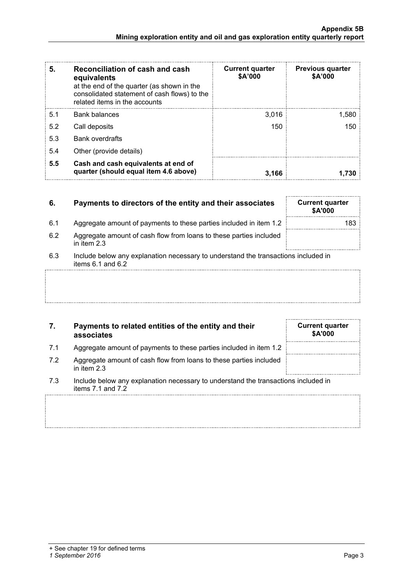**Mining exploration entity and oil and gas exploration entity quarterly report**

| 5.5 | Cash and cash equivalents at end of<br>quarter (should equal item 4.6 above)                                                | 3.166 | 1.730 |
|-----|-----------------------------------------------------------------------------------------------------------------------------|-------|-------|
| 5.4 | Other (provide details)                                                                                                     |       |       |
| 5.3 | <b>Bank overdrafts</b>                                                                                                      |       |       |
| 5.2 | Call deposits                                                                                                               | 150   | 150   |
| 5.1 | <b>Bank balances</b>                                                                                                        | 3,016 | 1.580 |
|     | at the end of the quarter (as shown in the<br>consolidated statement of cash flows) to the<br>related items in the accounts |       |       |

## **6. Payments to directors of the entity and their associates**

**equivalents**

- 6.1 Aggregate amount of payments to these parties included in item 1.2
- 6.2 Aggregate amount of cash flow from loans to these parties included in item 2.3
- 6.3 Include below any explanation necessary to understand the transactions included in items  $6.1$  and  $6.2$

## **7. Payments to related entities of the entity and their associates**

- 7.1 Aggregate amount of payments to these parties included in item 1.2
- 7.2 Aggregate amount of cash flow from loans to these parties included in item 2.3
- 7.3 Include below any explanation necessary to understand the transactions included in items 7.1 and 7.2

| <b>Current quarter</b><br>\$A'000 |  |
|-----------------------------------|--|
|                                   |  |
|                                   |  |
|                                   |  |

| <b>Current quarter</b><br>\$A'000 |     |
|-----------------------------------|-----|
|                                   | 183 |
|                                   |     |

**Appendix 5B**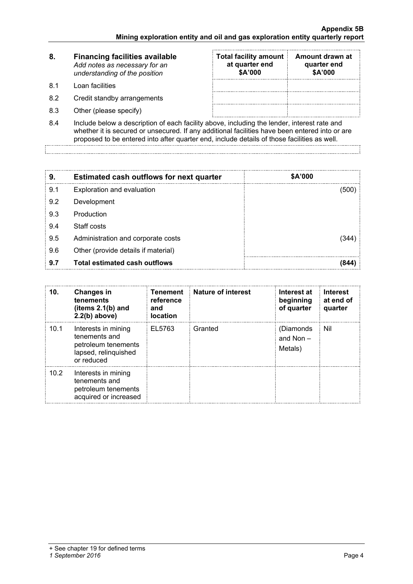| 8.  | <b>Financing facilities available</b><br>Add notes as necessary for an<br>understanding of the position | <b>Total facility amount</b><br>at quarter end<br>\$A'000 | Amount drawn at<br>quarter end<br>\$A'000 |
|-----|---------------------------------------------------------------------------------------------------------|-----------------------------------------------------------|-------------------------------------------|
| .81 | Loan facilities                                                                                         |                                                           |                                           |
| 8.2 | Credit standby arrangements                                                                             |                                                           |                                           |
| 8.3 | Other (please specify)                                                                                  |                                                           |                                           |

8.4 Include below a description of each facility above, including the lender, interest rate and whether it is secured or unsecured. If any additional facilities have been entered into or are proposed to be entered into after quarter end, include details of those facilities as well.

| 9.  | <b>Estimated cash outflows for next quarter</b> | <b>\$A'000</b> |
|-----|-------------------------------------------------|----------------|
| 9.1 | Exploration and evaluation                      | (500)          |
| 9.2 | Development                                     |                |
| 9.3 | Production                                      |                |
| 9.4 | Staff costs                                     |                |
| 9.5 | Administration and corporate costs              | 344)           |
| 9.6 | Other (provide details if material)             |                |
| 9.7 | <b>Total estimated cash outflows</b>            | 844            |

| 10.  | <b>Changes in</b><br>tenements<br>(items $2.1(b)$ and<br>$2.2(b)$ above)                          | <b>Tenement</b><br>reference<br>and<br><b>location</b> | <b>Nature of interest</b> | Interest at<br>beginning<br>of quarter | <b>Interest</b><br>at end of<br>quarter |
|------|---------------------------------------------------------------------------------------------------|--------------------------------------------------------|---------------------------|----------------------------------------|-----------------------------------------|
| 10.1 | Interests in mining<br>tenements and<br>petroleum tenements<br>lapsed, relinquished<br>or reduced | EL5763                                                 | Granted                   | (Diamonds)<br>and Non $-$<br>Metals)   | Nil                                     |
| 10.2 | Interests in mining<br>tenements and<br>petroleum tenements<br>acquired or increased              |                                                        |                           |                                        |                                         |